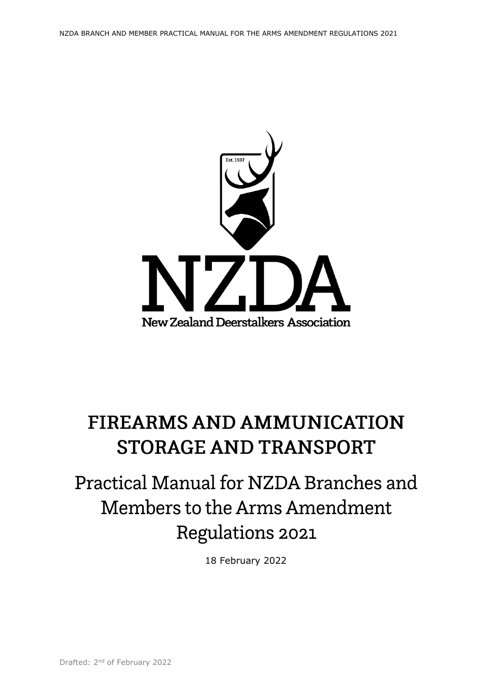

# **FIREARMS AND AMMUNICATION STORAGE AND TRANSPORT**

# Practical Manual for NZDA Branches and Members to the Arms Amendment Regulations 2021

18 February 2022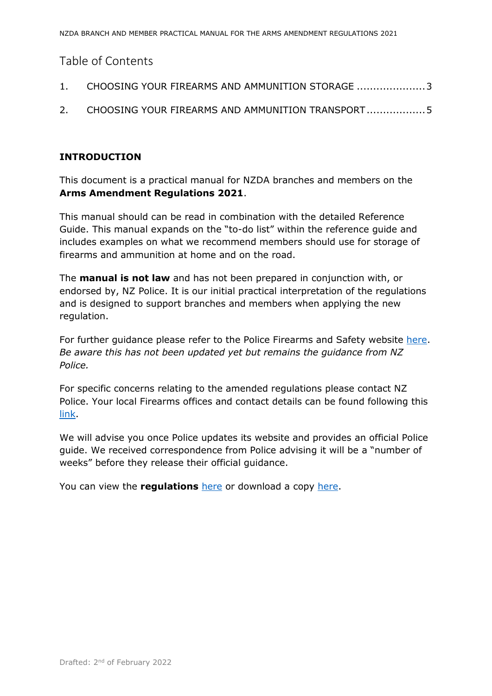# Table of Contents

|  |  |  |  | CHOOSING YOUR FIREARMS AND AMMUNITION STORAGE  3 |  |
|--|--|--|--|--------------------------------------------------|--|
|--|--|--|--|--------------------------------------------------|--|

2. [CHOOSING YOUR FIREARMS AND AMMUNITION TRANSPORT..................5](#page-4-0)

## **INTRODUCTION**

This document is a practical manual for NZDA branches and members on the **Arms Amendment Regulations 2021**.

This manual should can be read in combination with the detailed Reference Guide. This manual expands on the "to-do list" within the reference guide and includes examples on what we recommend members should use for storage of firearms and ammunition at home and on the road.

The **manual is not law** and has not been prepared in conjunction with, or endorsed by, NZ Police. It is our initial practical interpretation of the regulations and is designed to support branches and members when applying the new regulation.

For further guidance please refer to the Police Firearms and Safety website [here.](https://www.police.govt.nz/advice-services/firearms-and-safety) *Be aware this has not been updated yet but remains the guidance from NZ Police.* 

For specific concerns relating to the amended regulations please contact NZ Police. Your local Firearms offices and contact details can be found following this [link.](https://www.police.govt.nz/advice-services/firearms-and-safety/firearms-offices-and-contact-details)

We will advise you once Police updates its website and provides an official Police guide. We received correspondence from Police advising it will be a "number of weeks" before they release their official guidance.

You can view the **regulations** [here](https://www.legislation.govt.nz/regulation/public/2021/0434/latest/whole.html?bx_sender_conversion_id=14244135&utm_source=newsletter&utm_medium=mail&utm_campaign=nzda_treasurers_template_message#LMS618561) or download a copy [here.](https://www.legislation.govt.nz/regulation/public/2021/0434/latest/096be8ed81b98d03.pdf)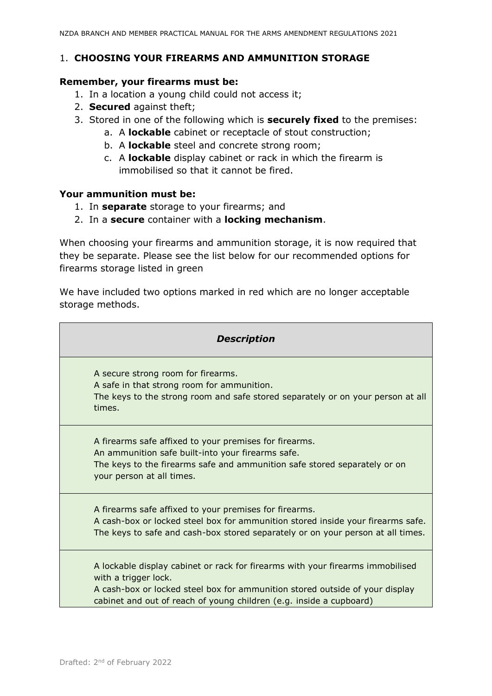### <span id="page-2-0"></span>1. **CHOOSING YOUR FIREARMS AND AMMUNITION STORAGE**

#### **Remember, your firearms must be:**

- 1. In a location a young child could not access it;
- 2. **Secured** against theft;
- 3. Stored in one of the following which is **securely fixed** to the premises:
	- a. A **lockable** cabinet or receptacle of stout construction;
	- b. A **lockable** steel and concrete strong room;
	- c. A **lockable** display cabinet or rack in which the firearm is immobilised so that it cannot be fired.

#### **Your ammunition must be:**

- 1. In **separate** storage to your firearms; and
- 2. In a **secure** container with a **locking mechanism**.

When choosing your firearms and ammunition storage, it is now required that they be separate. Please see the list below for our recommended options for firearms storage listed in green

We have included two options marked in red which are no longer acceptable storage methods.

| <b>Description</b>                                                                                                                                                                                                                                            |  |  |  |  |
|---------------------------------------------------------------------------------------------------------------------------------------------------------------------------------------------------------------------------------------------------------------|--|--|--|--|
| A secure strong room for firearms.<br>A safe in that strong room for ammunition.<br>The keys to the strong room and safe stored separately or on your person at all<br>times.                                                                                 |  |  |  |  |
| A firearms safe affixed to your premises for firearms.<br>An ammunition safe built-into your firearms safe.<br>The keys to the firearms safe and ammunition safe stored separately or on<br>your person at all times.                                         |  |  |  |  |
| A firearms safe affixed to your premises for firearms.<br>A cash-box or locked steel box for ammunition stored inside your firearms safe.<br>The keys to safe and cash-box stored separately or on your person at all times.                                  |  |  |  |  |
| A lockable display cabinet or rack for firearms with your firearms immobilised<br>with a trigger lock.<br>A cash-box or locked steel box for ammunition stored outside of your display<br>cabinet and out of reach of young children (e.g. inside a cupboard) |  |  |  |  |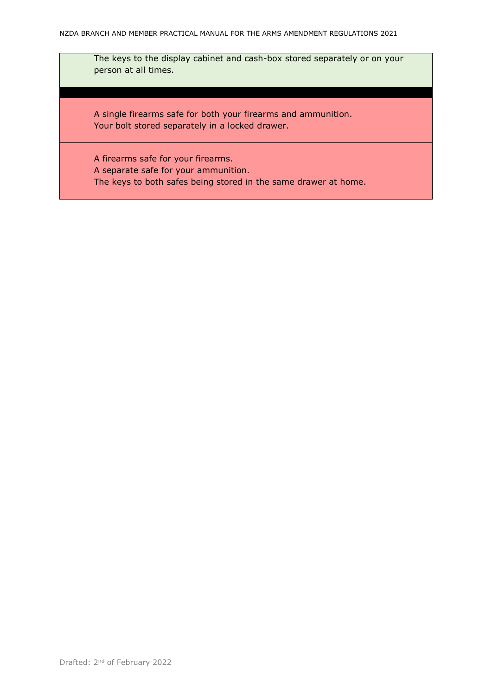The keys to the display cabinet and cash-box stored separately or on your person at all times.

A single firearms safe for both your firearms and ammunition. Your bolt stored separately in a locked drawer.

A firearms safe for your firearms. A separate safe for your ammunition. The keys to both safes being stored in the same drawer at home.